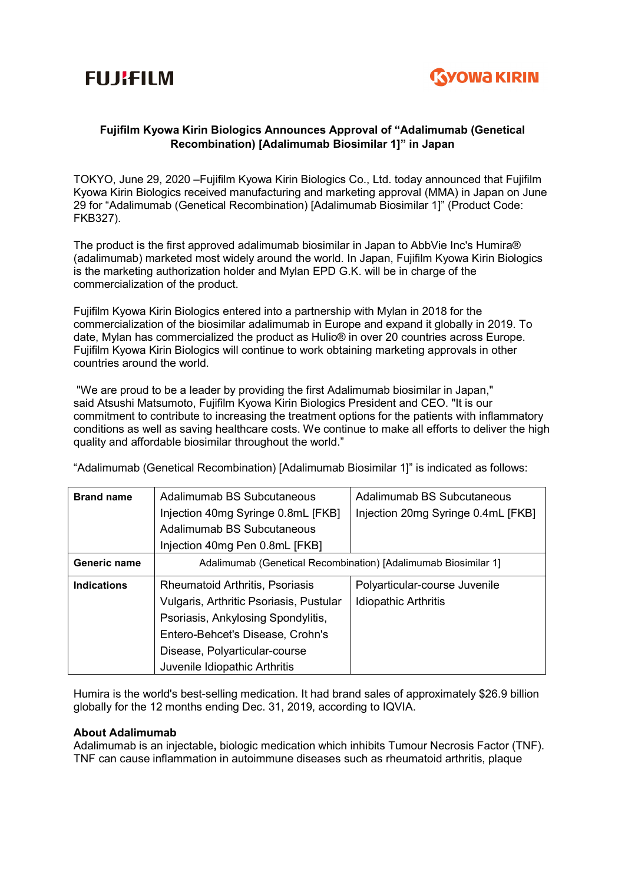



# Fujifilm Kyowa Kirin Biologics Announces Approval of "Adalimumab (Genetical Recombination) [Adalimumab Biosimilar 1]" in Japan

TOKYO, June 29, 2020 –Fujifilm Kyowa Kirin Biologics Co., Ltd. today announced that Fujifilm Kyowa Kirin Biologics received manufacturing and marketing approval (MMA) in Japan on June 29 for "Adalimumab (Genetical Recombination) [Adalimumab Biosimilar 1]" (Product Code: FKB327).

The product is the first approved adalimumab biosimilar in Japan to AbbVie Inc's Humira® (adalimumab) marketed most widely around the world. In Japan, Fujifilm Kyowa Kirin Biologics is the marketing authorization holder and Mylan EPD G.K. will be in charge of the commercialization of the product.

Fujifilm Kyowa Kirin Biologics entered into a partnership with Mylan in 2018 for the commercialization of the biosimilar adalimumab in Europe and expand it globally in 2019. To date, Mylan has commercialized the product as Hulio® in over 20 countries across Europe. Fujifilm Kyowa Kirin Biologics will continue to work obtaining marketing approvals in other countries around the world.

 "We are proud to be a leader by providing the first Adalimumab biosimilar in Japan," said Atsushi Matsumoto, Fujifilm Kyowa Kirin Biologics President and CEO. "It is our commitment to contribute to increasing the treatment options for the patients with inflammatory conditions as well as saving healthcare costs. We continue to make all efforts to deliver the high quality and affordable biosimilar throughout the world."

"Adalimumab (Genetical Recombination) [Adalimumab Biosimilar 1]" is indicated as follows:

| <b>Brand name</b>  | Adalimumab BS Subcutaneous                                     | Adalimumab BS Subcutaneous         |
|--------------------|----------------------------------------------------------------|------------------------------------|
|                    | Injection 40mg Syringe 0.8mL [FKB]                             | Injection 20mg Syringe 0.4mL [FKB] |
|                    | Adalimumab BS Subcutaneous                                     |                                    |
|                    | Injection 40mg Pen 0.8mL [FKB]                                 |                                    |
| Generic name       | Adalimumab (Genetical Recombination) [Adalimumab Biosimilar 1] |                                    |
| <b>Indications</b> | <b>Rheumatoid Arthritis, Psoriasis</b>                         | Polyarticular-course Juvenile      |
|                    | Vulgaris, Arthritic Psoriasis, Pustular                        | <b>Idiopathic Arthritis</b>        |
|                    | Psoriasis, Ankylosing Spondylitis,                             |                                    |
|                    | Entero-Behcet's Disease, Crohn's                               |                                    |
|                    | Disease, Polyarticular-course                                  |                                    |
|                    | Juvenile Idiopathic Arthritis                                  |                                    |

Humira is the world's best-selling medication. It had brand sales of approximately \$26.9 billion globally for the 12 months ending Dec. 31, 2019, according to IQVIA.

## About Adalimumab

Adalimumab is an injectable, biologic medication which inhibits Tumour Necrosis Factor (TNF). TNF can cause inflammation in autoimmune diseases such as rheumatoid arthritis, plaque